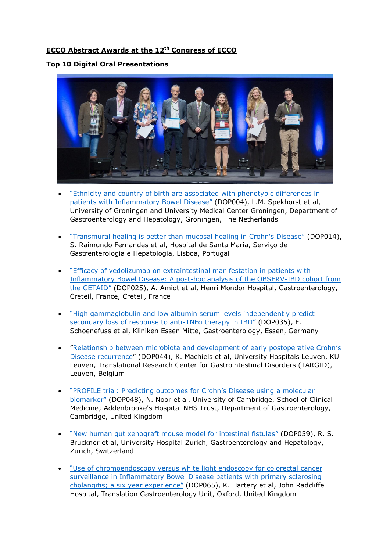# **ECCO Abstract Awards at the 12 th Congress of ECCO**

### **Top 10 Digital Oral Presentations**



- "[Ethnicity and country of birth are associated with phenotypic differences in](https://www.ecco-ibd.eu/index.php/publications/congress-abstract-s/abstracts-2017/item/dop004-ethnicity-and-country-of-birth-are-associated-with-phenotypic-differences-in-patients-with-inflammatory-bowel-disease-2.html)  [patients with Inflammatory Bowel Disease](https://www.ecco-ibd.eu/index.php/publications/congress-abstract-s/abstracts-2017/item/dop004-ethnicity-and-country-of-birth-are-associated-with-phenotypic-differences-in-patients-with-inflammatory-bowel-disease-2.html)" (DOP004), L.M. Spekhorst et al, University of Groningen and University Medical Center Groningen, Department of Gastroenterology and Hepatology, Groningen, The Netherlands
- ["Transmural healing is better than mucosal healing in Crohn's Disease"](https://www.ecco-ibd.eu/index.php/publications/congress-abstract-s/abstracts-2017/item/dop014-transmural-healing-is-better-than-mucosal-healing-in-crohn-s-disease-2.html) (DOP014), S. Raimundo Fernandes et al, Hospital de Santa Maria, Serviço de Gastrenterologia e Hepatologia, Lisboa, Portugal
- "[Efficacy of vedolizumab on extraintestinal manifestation in patients with](https://www.ecco-ibd.eu/index.php/publications/congress-abstract-s/abstracts-2017/item/dop025-efficacy-of-vedolizumab-on-extraintestinal-manifestation-in-patients-with-inflammatory-bowel-disease-a-post-hoc-analysis-of-the-observ-ibd-cohort-from-the-getaid-2.html)  [Inflammatory Bowel Disease: A post-hoc analysis of the OBSERV-IBD cohort from](https://www.ecco-ibd.eu/index.php/publications/congress-abstract-s/abstracts-2017/item/dop025-efficacy-of-vedolizumab-on-extraintestinal-manifestation-in-patients-with-inflammatory-bowel-disease-a-post-hoc-analysis-of-the-observ-ibd-cohort-from-the-getaid-2.html)  [the GETAID](https://www.ecco-ibd.eu/index.php/publications/congress-abstract-s/abstracts-2017/item/dop025-efficacy-of-vedolizumab-on-extraintestinal-manifestation-in-patients-with-inflammatory-bowel-disease-a-post-hoc-analysis-of-the-observ-ibd-cohort-from-the-getaid-2.html)" (DOP025), A. Amiot et al, Henri Mondor Hospital, Gastroenterology, Creteil, France, Creteil, France
- "[High gammaglobulin and low albumin serum levels independently predict](https://www.ecco-ibd.eu/index.php/publications/congress-abstract-s/abstracts-2017/item/dop035-high-gammaglobulin-and-low-albumin-serum-levels-independently-predict-secondary-loss-of-response-to-anti-tnfx03b1-therapy-in-ibd-2.html)  [secondary loss of response to anti-](https://www.ecco-ibd.eu/index.php/publications/congress-abstract-s/abstracts-2017/item/dop035-high-gammaglobulin-and-low-albumin-serum-levels-independently-predict-secondary-loss-of-response-to-anti-tnfx03b1-therapy-in-ibd-2.html)TNFa therapy in IBD" (DOP035), F. Schoenefuss et al, Kliniken Essen Mitte, Gastroenterology, Essen, Germany
- "[Relationship between microbiota and develop](https://www.ecco-ibd.eu/index.php/publications/congress-abstract-s/abstracts-2017/item/dop044-relationship-between-microbiota-and-development-of-early-postoperative-crohn-s-disease-recurrence-2.html)ment of early postoperative Crohn's [Disease recurrence](https://www.ecco-ibd.eu/index.php/publications/congress-abstract-s/abstracts-2017/item/dop044-relationship-between-microbiota-and-development-of-early-postoperative-crohn-s-disease-recurrence-2.html)" (DOP044), K. Machiels et al, University Hospitals Leuven, KU Leuven, Translational Research Center for Gastrointestinal Disorders (TARGID), Leuven, Belgium
- ["PROFILE trial: Predicting outcomes for Crohn's Disease usi](https://www.ecco-ibd.eu/index.php/publications/congress-abstract-s/abstracts-2017/item/dop048-profile-trial-predicting-outcomes-for-crohn-s-disease-using-a-molecular-biomarker-2.html)ng a molecular [biomarker](https://www.ecco-ibd.eu/index.php/publications/congress-abstract-s/abstracts-2017/item/dop048-profile-trial-predicting-outcomes-for-crohn-s-disease-using-a-molecular-biomarker-2.html)" (DOP048), N. Noor et al, University of Cambridge, School of Clinical Medicine; Addenbrooke's Hospital NHS Trust, Department of Gastroenterology, Cambridge, United Kingdom
- "[New human gut xenograft mouse model for intestinal fistulas](https://www.ecco-ibd.eu/index.php/publications/congress-abstract-s/abstracts-2017/item/dop059-new-human-gut-xenograft-mouse-model-for-intestinal-fistulas.html)" (DOP059), R. S. Bruckner et al, University Hospital Zurich, Gastroenterology and Hepatology, Zurich, Switzerland
- "[Use of chromoendoscopy versus white light endoscopy for colorectal cancer](https://www.ecco-ibd.eu/index.php/publications/congress-abstract-s/abstracts-2017/item/dop065-use-of-chromoendoscopy-versus-white-light-endoscopy-for-colorectal-cancer-surveillance-inx00a0inflammatory-bowel-disease-patients-with-primary-sclerosing-cholangitis-a-six-year-experience.html)  [surveillance in Inflammatory Bowel Disease patients with primary sclerosing](https://www.ecco-ibd.eu/index.php/publications/congress-abstract-s/abstracts-2017/item/dop065-use-of-chromoendoscopy-versus-white-light-endoscopy-for-colorectal-cancer-surveillance-inx00a0inflammatory-bowel-disease-patients-with-primary-sclerosing-cholangitis-a-six-year-experience.html)  [cholangitis; a six year experience](https://www.ecco-ibd.eu/index.php/publications/congress-abstract-s/abstracts-2017/item/dop065-use-of-chromoendoscopy-versus-white-light-endoscopy-for-colorectal-cancer-surveillance-inx00a0inflammatory-bowel-disease-patients-with-primary-sclerosing-cholangitis-a-six-year-experience.html)" (DOP065), K. Hartery et al, John Radcliffe Hospital, Translation Gastroenterology Unit, Oxford, United Kingdom